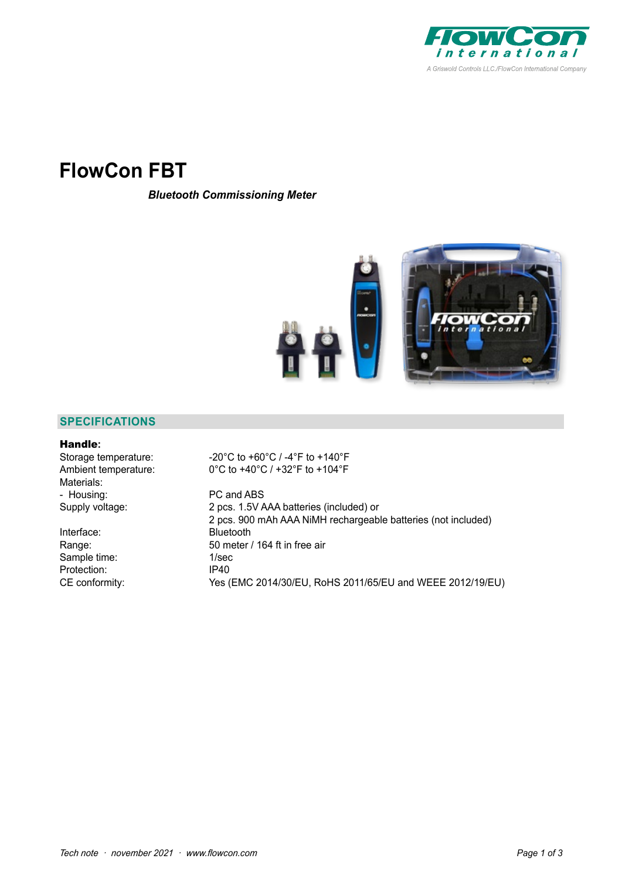

# **FlowCon FBT**

*Bluetooth Commissioning Meter*



## **SPECIFICATIONS**

### Handle**:**

Materials: - Housing: PC and ABS

Interface: Bluetooth Sample time: 1/sec<br>Protection: 1/940 Protection:

Storage temperature: -20°C to +60°C / -4°F to +140°F Ambient temperature: 0°C to +40°C / +32°F to +104°F

Supply voltage: 2 pcs. 1.5V AAA batteries (included) or 2 pcs. 900 mAh AAA NiMH rechargeable batteries (not included) Range: 50 meter / 164 ft in free air CE conformity: Yes (EMC 2014/30/EU, RoHS 2011/65/EU and WEEE 2012/19/EU)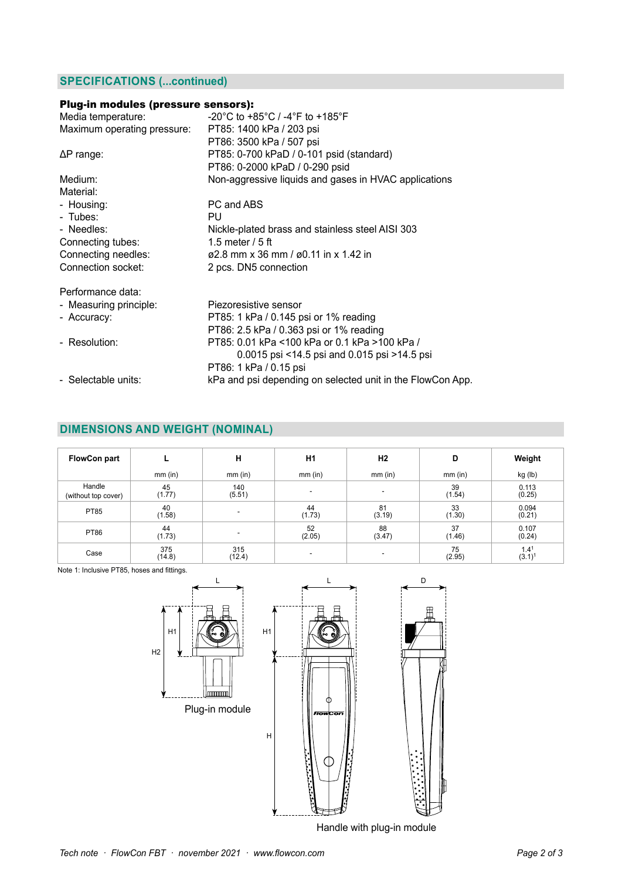## **SPECIFICATIONS (...continued)**

## Plug-in modules (pressure sensors):

| Media temperature:          | -20°C to +85°C / -4°F to +185°F                            |
|-----------------------------|------------------------------------------------------------|
| Maximum operating pressure: | PT85: 1400 kPa / 203 psi                                   |
|                             | PT86: 3500 kPa / 507 psi                                   |
| $\Delta P$ range:           | PT85: 0-700 kPaD / 0-101 psid (standard)                   |
|                             | PT86: 0-2000 kPaD / 0-290 psid                             |
| Medium:                     | Non-aggressive liquids and gases in HVAC applications      |
| Material:                   |                                                            |
| - Housing:                  | PC and ABS                                                 |
| - Tubes:                    | PU.                                                        |
| - Needles:                  | Nickle-plated brass and stainless steel AISI 303           |
| Connecting tubes:           | 1.5 meter $/5$ ft                                          |
| Connecting needles:         | $\varphi$ 2.8 mm x 36 mm / $\varphi$ 0.11 in x 1.42 in     |
| Connection socket:          | 2 pcs. DN5 connection                                      |
| Performance data:           |                                                            |
| - Measuring principle:      | Piezoresistive sensor                                      |
| - Accuracy:                 | PT85: 1 kPa / 0.145 psi or 1% reading                      |
|                             | PT86: 2.5 kPa / 0.363 psi or 1% reading                    |
| - Resolution:               | PT85: 0.01 kPa <100 kPa or 0.1 kPa >100 kPa /              |
|                             | 0.0015 psi <14.5 psi and 0.015 psi >14.5 psi               |
|                             | PT86: 1 kPa / 0.15 psi                                     |
| - Selectable units:         | kPa and psi depending on selected unit in the FlowCon App. |

## **DIMENSIONS AND WEIGHT (NOMINAL)**

| <b>FlowCon part</b>           |               | н                        | H1                       | H <sub>2</sub> | D            | Weight                                   |
|-------------------------------|---------------|--------------------------|--------------------------|----------------|--------------|------------------------------------------|
|                               | $mm$ (in)     | $mm$ (in)                | $mm$ (in)                | $mm$ (in)      | $mm$ (in)    | kg (lb)                                  |
| Handle<br>(without top cover) | 45<br>(1.77)  | 140<br>(5.51)            | $\overline{\phantom{a}}$ |                | 39<br>(1.54) | 0.113<br>(0.25)                          |
| <b>PT85</b>                   | 40<br>(1.58)  | $\overline{\phantom{a}}$ | 44<br>(1.73)             | 81<br>(3.19)   | 33<br>(1.30) | 0.094<br>(0.21)                          |
| <b>PT86</b>                   | 44<br>(1.73)  | -                        | 52<br>(2.05)             | 88<br>(3.47)   | 37<br>(1.46) | 0.107<br>(0.24)                          |
| Case                          | 375<br>(14.8) | 315<br>(12.4)            | $\overline{\phantom{a}}$ |                | 75<br>(2.95) | 1.4 <sup>1</sup><br>$(3.1)$ <sup>1</sup> |

Note 1: Inclusive PT85, hoses and fittings.



Handle with plug-in module